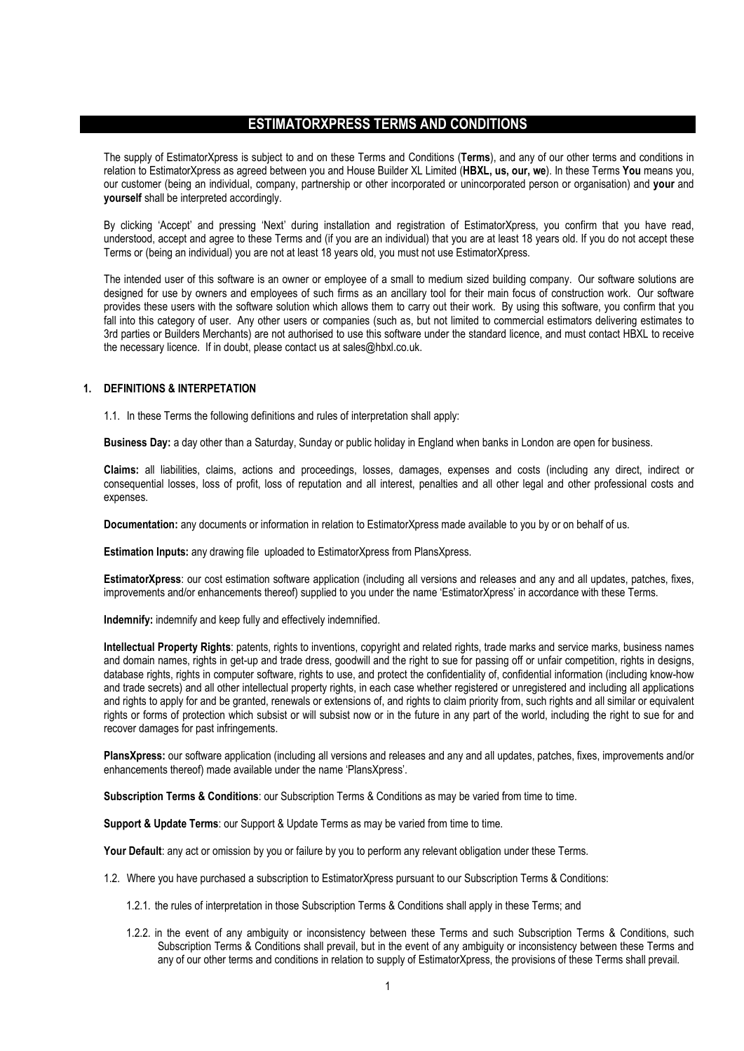# ESTIMATORXPRESS TERMS AND CONDITIONS

The supply of EstimatorXpress is subject to and on these Terms and Conditions (Terms), and any of our other terms and conditions in relation to EstimatorXpress as agreed between you and House Builder XL Limited (HBXL, us, our, we). In these Terms You means you, our customer (being an individual, company, partnership or other incorporated or unincorporated person or organisation) and your and yourself shall be interpreted accordingly.

By clicking 'Accept' and pressing 'Next' during installation and registration of EstimatorXpress, you confirm that you have read, understood, accept and agree to these Terms and (if you are an individual) that you are at least 18 years old. If you do not accept these Terms or (being an individual) you are not at least 18 years old, you must not use EstimatorXpress.

The intended user of this software is an owner or employee of a small to medium sized building company. Our software solutions are designed for use by owners and employees of such firms as an ancillary tool for their main focus of construction work. Our software provides these users with the software solution which allows them to carry out their work. By using this software, you confirm that you fall into this category of user. Any other users or companies (such as, but not limited to commercial estimators delivering estimates to 3rd parties or Builders Merchants) are not authorised to use this software under the standard licence, and must contact HBXL to receive the necessary licence. If in doubt, please contact us at sales@hbxl.co.uk.

### 1. DEFINITIONS & INTERPETATION

1.1. In these Terms the following definitions and rules of interpretation shall apply:

Business Day: a day other than a Saturday, Sunday or public holiday in England when banks in London are open for business.

Claims: all liabilities, claims, actions and proceedings, losses, damages, expenses and costs (including any direct, indirect or consequential losses, loss of profit, loss of reputation and all interest, penalties and all other legal and other professional costs and expenses.

Documentation: any documents or information in relation to EstimatorXpress made available to you by or on behalf of us.

Estimation Inputs: any drawing file uploaded to EstimatorXpress from PlansXpress.

EstimatorXpress: our cost estimation software application (including all versions and releases and any and all updates, patches, fixes, improvements and/or enhancements thereof) supplied to you under the name 'EstimatorXpress' in accordance with these Terms.

Indemnify: indemnify and keep fully and effectively indemnified.

Intellectual Property Rights: patents, rights to inventions, copyright and related rights, trade marks and service marks, business names and domain names, rights in get-up and trade dress, goodwill and the right to sue for passing off or unfair competition, rights in designs, database rights, rights in computer software, rights to use, and protect the confidentiality of, confidential information (including know-how and trade secrets) and all other intellectual property rights, in each case whether registered or unregistered and including all applications and rights to apply for and be granted, renewals or extensions of, and rights to claim priority from, such rights and all similar or equivalent rights or forms of protection which subsist or will subsist now or in the future in any part of the world, including the right to sue for and recover damages for past infringements.

PlansXpress: our software application (including all versions and releases and any and all updates, patches, fixes, improvements and/or enhancements thereof) made available under the name 'PlansXpress'.

Subscription Terms & Conditions: our Subscription Terms & Conditions as may be varied from time to time.

Support & Update Terms: our Support & Update Terms as may be varied from time to time.

Your Default: any act or omission by you or failure by you to perform any relevant obligation under these Terms.

- 1.2. Where you have purchased a subscription to EstimatorXpress pursuant to our Subscription Terms & Conditions:
	- 1.2.1. the rules of interpretation in those Subscription Terms & Conditions shall apply in these Terms; and
	- 1.2.2. in the event of any ambiguity or inconsistency between these Terms and such Subscription Terms & Conditions, such Subscription Terms & Conditions shall prevail, but in the event of any ambiguity or inconsistency between these Terms and any of our other terms and conditions in relation to supply of EstimatorXpress, the provisions of these Terms shall prevail.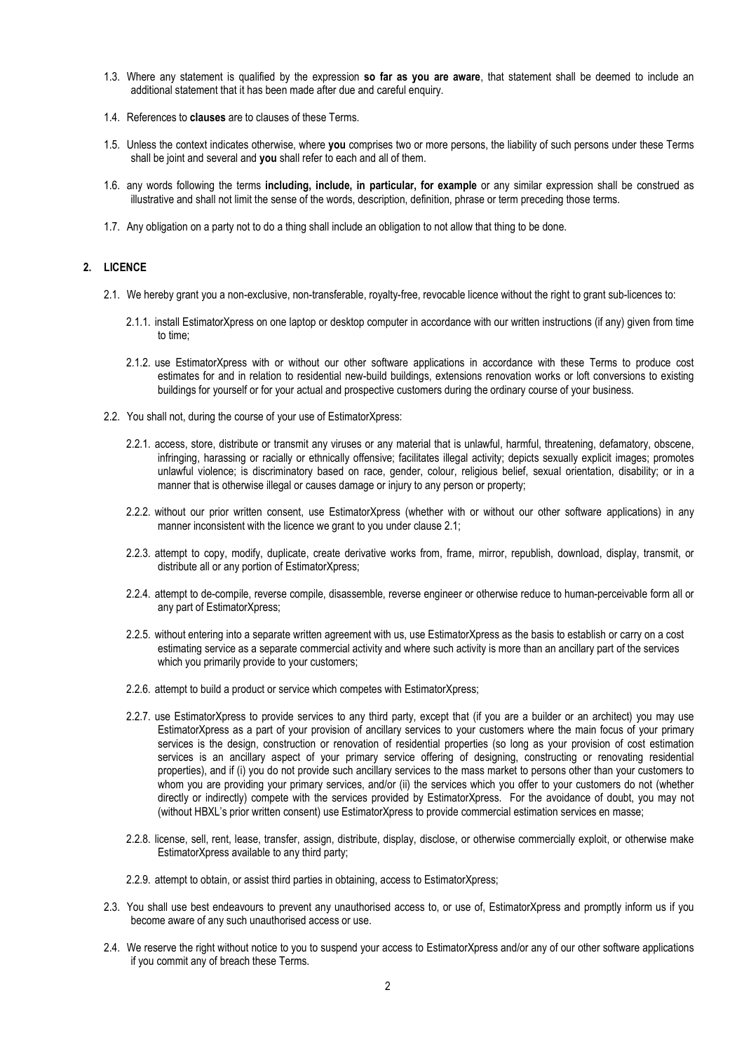- 1.3. Where any statement is qualified by the expression so far as you are aware, that statement shall be deemed to include an additional statement that it has been made after due and careful enquiry.
- 1.4. References to clauses are to clauses of these Terms.
- 1.5. Unless the context indicates otherwise, where you comprises two or more persons, the liability of such persons under these Terms shall be joint and several and you shall refer to each and all of them.
- 1.6. any words following the terms including, include, in particular, for example or any similar expression shall be construed as illustrative and shall not limit the sense of the words, description, definition, phrase or term preceding those terms.
- 1.7. Any obligation on a party not to do a thing shall include an obligation to not allow that thing to be done.

### 2. LICENCE

- 2.1. We hereby grant you a non-exclusive, non-transferable, royalty-free, revocable licence without the right to grant sub-licences to:
	- 2.1.1. install EstimatorXpress on one laptop or desktop computer in accordance with our written instructions (if any) given from time to time;
	- 2.1.2. use EstimatorXpress with or without our other software applications in accordance with these Terms to produce cost estimates for and in relation to residential new-build buildings, extensions renovation works or loft conversions to existing buildings for yourself or for your actual and prospective customers during the ordinary course of your business.
- 2.2. You shall not, during the course of your use of EstimatorXpress:
	- 2.2.1. access, store, distribute or transmit any viruses or any material that is unlawful, harmful, threatening, defamatory, obscene, infringing, harassing or racially or ethnically offensive; facilitates illegal activity; depicts sexually explicit images; promotes unlawful violence; is discriminatory based on race, gender, colour, religious belief, sexual orientation, disability; or in a manner that is otherwise illegal or causes damage or injury to any person or property;
	- 2.2.2. without our prior written consent, use EstimatorXpress (whether with or without our other software applications) in any manner inconsistent with the licence we grant to you under clause 2.1;
	- 2.2.3. attempt to copy, modify, duplicate, create derivative works from, frame, mirror, republish, download, display, transmit, or distribute all or any portion of EstimatorXpress;
	- 2.2.4. attempt to de-compile, reverse compile, disassemble, reverse engineer or otherwise reduce to human-perceivable form all or any part of EstimatorXpress;
	- 2.2.5. without entering into a separate written agreement with us, use EstimatorXpress as the basis to establish or carry on a cost estimating service as a separate commercial activity and where such activity is more than an ancillary part of the services which you primarily provide to your customers;
	- 2.2.6. attempt to build a product or service which competes with EstimatorXpress;
	- 2.2.7. use EstimatorXpress to provide services to any third party, except that (if you are a builder or an architect) you may use EstimatorXpress as a part of your provision of ancillary services to your customers where the main focus of your primary services is the design, construction or renovation of residential properties (so long as your provision of cost estimation services is an ancillary aspect of your primary service offering of designing, constructing or renovating residential properties), and if (i) you do not provide such ancillary services to the mass market to persons other than your customers to whom you are providing your primary services, and/or (ii) the services which you offer to your customers do not (whether directly or indirectly) compete with the services provided by EstimatorXpress. For the avoidance of doubt, you may not (without HBXL's prior written consent) use EstimatorXpress to provide commercial estimation services en masse;
	- 2.2.8. license, sell, rent, lease, transfer, assign, distribute, display, disclose, or otherwise commercially exploit, or otherwise make EstimatorXpress available to any third party;
	- 2.2.9. attempt to obtain, or assist third parties in obtaining, access to EstimatorXpress;
- 2.3. You shall use best endeavours to prevent any unauthorised access to, or use of, EstimatorXpress and promptly inform us if you become aware of any such unauthorised access or use.
- 2.4. We reserve the right without notice to you to suspend your access to EstimatorXpress and/or any of our other software applications if you commit any of breach these Terms.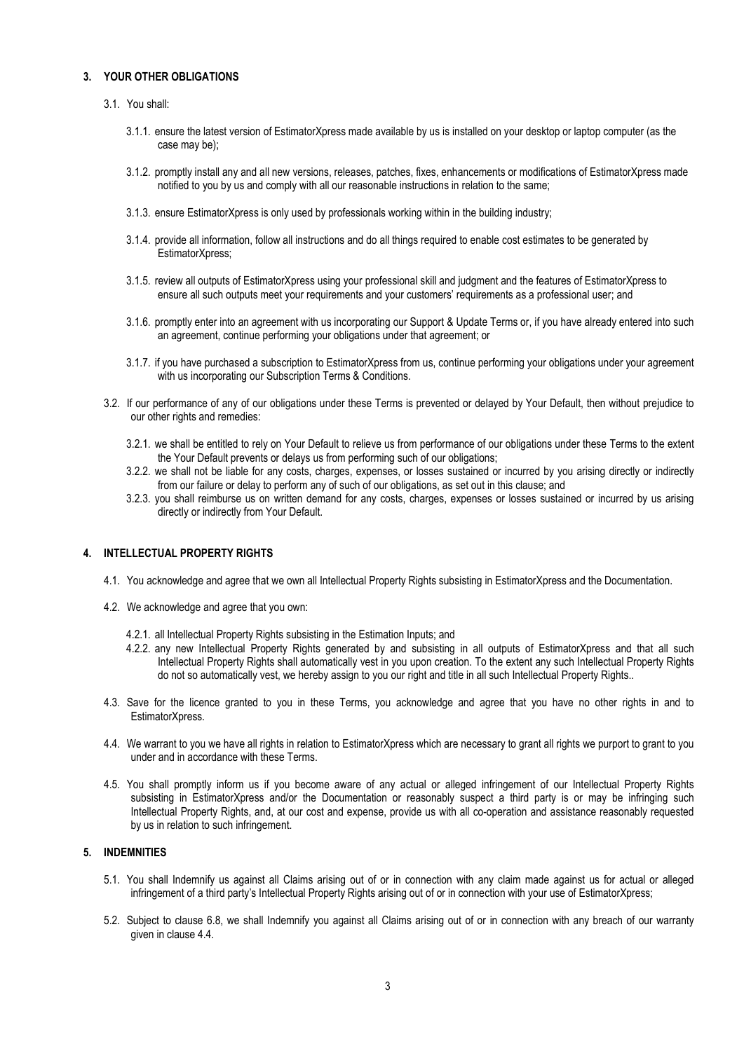## 3. YOUR OTHER OBLIGATIONS

## 3.1. You shall:

- 3.1.1. ensure the latest version of EstimatorXpress made available by us is installed on your desktop or laptop computer (as the case may be);
- 3.1.2. promptly install any and all new versions, releases, patches, fixes, enhancements or modifications of EstimatorXpress made notified to you by us and comply with all our reasonable instructions in relation to the same;
- 3.1.3. ensure EstimatorXpress is only used by professionals working within in the building industry;
- 3.1.4. provide all information, follow all instructions and do all things required to enable cost estimates to be generated by EstimatorXpress;
- 3.1.5. review all outputs of EstimatorXpress using your professional skill and judgment and the features of EstimatorXpress to ensure all such outputs meet your requirements and your customers' requirements as a professional user; and
- 3.1.6. promptly enter into an agreement with us incorporating our Support & Update Terms or, if you have already entered into such an agreement, continue performing your obligations under that agreement; or
- 3.1.7. if you have purchased a subscription to EstimatorXpress from us, continue performing your obligations under your agreement with us incorporating our Subscription Terms & Conditions.
- 3.2. If our performance of any of our obligations under these Terms is prevented or delayed by Your Default, then without prejudice to our other rights and remedies:
	- 3.2.1. we shall be entitled to rely on Your Default to relieve us from performance of our obligations under these Terms to the extent the Your Default prevents or delays us from performing such of our obligations;
	- 3.2.2. we shall not be liable for any costs, charges, expenses, or losses sustained or incurred by you arising directly or indirectly from our failure or delay to perform any of such of our obligations, as set out in this clause; and
	- 3.2.3. you shall reimburse us on written demand for any costs, charges, expenses or losses sustained or incurred by us arising directly or indirectly from Your Default.

## 4. INTELLECTUAL PROPERTY RIGHTS

- 4.1. You acknowledge and agree that we own all Intellectual Property Rights subsisting in EstimatorXpress and the Documentation.
- 4.2. We acknowledge and agree that you own:
	- 4.2.1. all Intellectual Property Rights subsisting in the Estimation Inputs; and
	- 4.2.2. any new Intellectual Property Rights generated by and subsisting in all outputs of EstimatorXpress and that all such Intellectual Property Rights shall automatically vest in you upon creation. To the extent any such Intellectual Property Rights do not so automatically vest, we hereby assign to you our right and title in all such Intellectual Property Rights..
- 4.3. Save for the licence granted to you in these Terms, you acknowledge and agree that you have no other rights in and to EstimatorXpress.
- 4.4. We warrant to you we have all rights in relation to EstimatorXpress which are necessary to grant all rights we purport to grant to you under and in accordance with these Terms.
- 4.5. You shall promptly inform us if you become aware of any actual or alleged infringement of our Intellectual Property Rights subsisting in EstimatorXpress and/or the Documentation or reasonably suspect a third party is or may be infringing such Intellectual Property Rights, and, at our cost and expense, provide us with all co-operation and assistance reasonably requested by us in relation to such infringement.

## 5. INDEMNITIES

- 5.1. You shall Indemnify us against all Claims arising out of or in connection with any claim made against us for actual or alleged infringement of a third party's Intellectual Property Rights arising out of or in connection with your use of EstimatorXpress;
- 5.2. Subject to clause 6.8, we shall Indemnify you against all Claims arising out of or in connection with any breach of our warranty given in clause 4.4.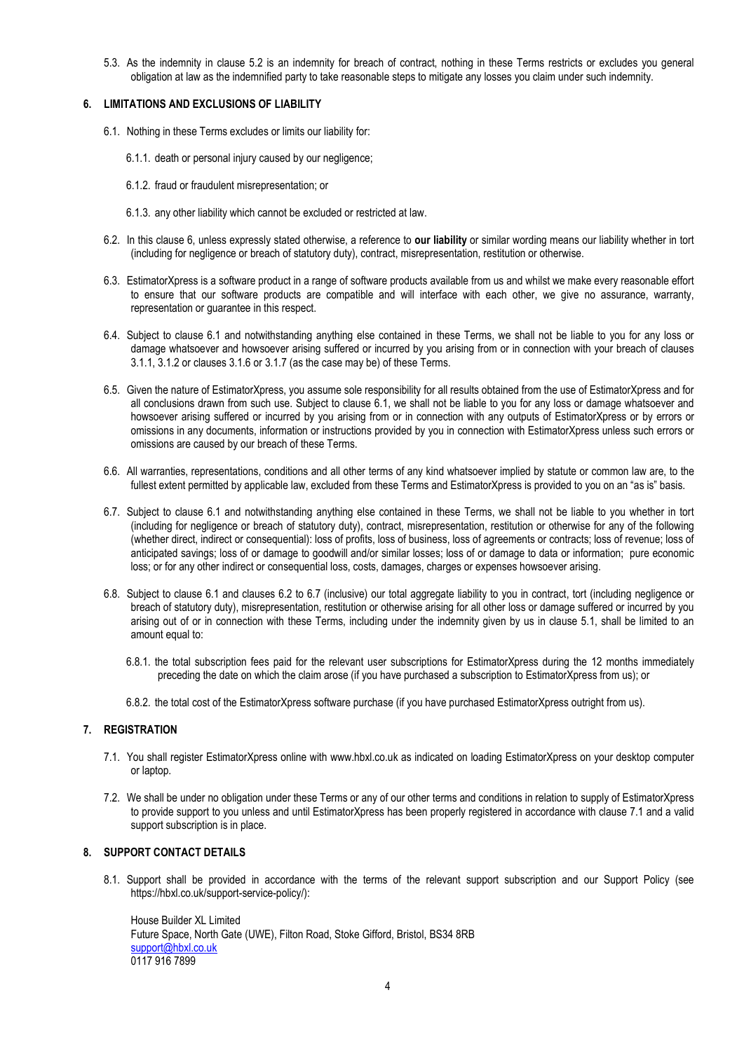5.3. As the indemnity in clause 5.2 is an indemnity for breach of contract, nothing in these Terms restricts or excludes you general obligation at law as the indemnified party to take reasonable steps to mitigate any losses you claim under such indemnity.

## 6. LIMITATIONS AND EXCLUSIONS OF LIABILITY

- 6.1. Nothing in these Terms excludes or limits our liability for:
	- 6.1.1. death or personal injury caused by our negligence;
	- 6.1.2. fraud or fraudulent misrepresentation; or
	- 6.1.3. any other liability which cannot be excluded or restricted at law.
- 6.2. In this clause 6, unless expressly stated otherwise, a reference to our liability or similar wording means our liability whether in tort (including for negligence or breach of statutory duty), contract, misrepresentation, restitution or otherwise.
- 6.3. EstimatorXpress is a software product in a range of software products available from us and whilst we make every reasonable effort to ensure that our software products are compatible and will interface with each other, we give no assurance, warranty, representation or guarantee in this respect.
- 6.4. Subject to clause 6.1 and notwithstanding anything else contained in these Terms, we shall not be liable to you for any loss or damage whatsoever and howsoever arising suffered or incurred by you arising from or in connection with your breach of clauses 3.1.1, 3.1.2 or clauses 3.1.6 or 3.1.7 (as the case may be) of these Terms.
- 6.5. Given the nature of EstimatorXpress, you assume sole responsibility for all results obtained from the use of EstimatorXpress and for all conclusions drawn from such use. Subject to clause 6.1, we shall not be liable to you for any loss or damage whatsoever and howsoever arising suffered or incurred by you arising from or in connection with any outputs of EstimatorXpress or by errors or omissions in any documents, information or instructions provided by you in connection with EstimatorXpress unless such errors or omissions are caused by our breach of these Terms.
- 6.6. All warranties, representations, conditions and all other terms of any kind whatsoever implied by statute or common law are, to the fullest extent permitted by applicable law, excluded from these Terms and EstimatorXpress is provided to you on an "as is" basis.
- 6.7. Subject to clause 6.1 and notwithstanding anything else contained in these Terms, we shall not be liable to you whether in tort (including for negligence or breach of statutory duty), contract, misrepresentation, restitution or otherwise for any of the following (whether direct, indirect or consequential): loss of profits, loss of business, loss of agreements or contracts; loss of revenue; loss of anticipated savings; loss of or damage to goodwill and/or similar losses; loss of or damage to data or information; pure economic loss; or for any other indirect or consequential loss, costs, damages, charges or expenses howsoever arising.
- 6.8. Subject to clause 6.1 and clauses 6.2 to 6.7 (inclusive) our total aggregate liability to you in contract, tort (including negligence or breach of statutory duty), misrepresentation, restitution or otherwise arising for all other loss or damage suffered or incurred by you arising out of or in connection with these Terms, including under the indemnity given by us in clause 5.1, shall be limited to an amount equal to:
	- 6.8.1. the total subscription fees paid for the relevant user subscriptions for EstimatorXpress during the 12 months immediately preceding the date on which the claim arose (if you have purchased a subscription to EstimatorXpress from us); or
	- 6.8.2. the total cost of the EstimatorXpress software purchase (if you have purchased EstimatorXpress outright from us).

## 7. REGISTRATION

- 7.1. You shall register EstimatorXpress online with www.hbxl.co.uk as indicated on loading EstimatorXpress on your desktop computer or laptop.
- 7.2. We shall be under no obligation under these Terms or any of our other terms and conditions in relation to supply of EstimatorXpress to provide support to you unless and until EstimatorXpress has been properly registered in accordance with clause 7.1 and a valid support subscription is in place.

### 8. SUPPORT CONTACT DETAILS

8.1. Support shall be provided in accordance with the terms of the relevant support subscription and our Support Policy (see https://hbxl.co.uk/support-service-policy/):

House Builder XL Limited Future Space, North Gate (UWE), Filton Road, Stoke Gifford, Bristol, BS34 8RB support@hbxl.co.uk 0117 916 7899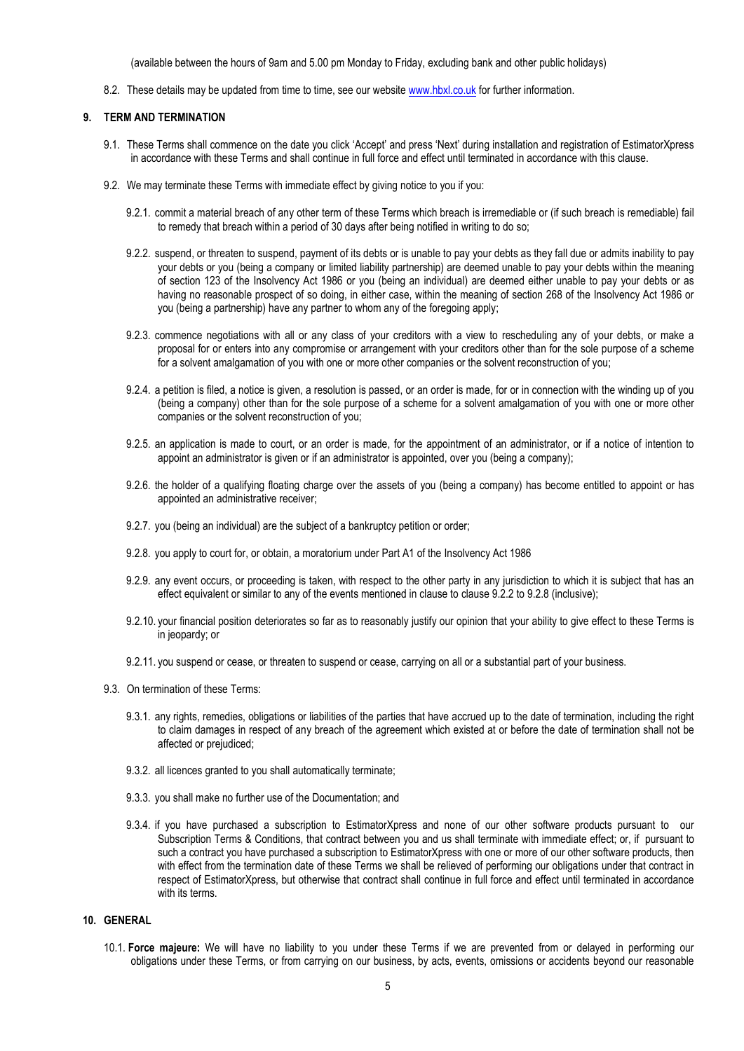(available between the hours of 9am and 5.00 pm Monday to Friday, excluding bank and other public holidays)

8.2. These details may be updated from time to time, see our website www.hbxl.co.uk for further information.

### 9. TERM AND TERMINATION

- 9.1. These Terms shall commence on the date you click 'Accept' and press 'Next' during installation and registration of EstimatorXpress in accordance with these Terms and shall continue in full force and effect until terminated in accordance with this clause.
- 9.2. We may terminate these Terms with immediate effect by giving notice to you if you:
	- 9.2.1. commit a material breach of any other term of these Terms which breach is irremediable or (if such breach is remediable) fail to remedy that breach within a period of 30 days after being notified in writing to do so;
	- 9.2.2. suspend, or threaten to suspend, payment of its debts or is unable to pay your debts as they fall due or admits inability to pay your debts or you (being a company or limited liability partnership) are deemed unable to pay your debts within the meaning of section 123 of the Insolvency Act 1986 or you (being an individual) are deemed either unable to pay your debts or as having no reasonable prospect of so doing, in either case, within the meaning of section 268 of the Insolvency Act 1986 or you (being a partnership) have any partner to whom any of the foregoing apply;
	- 9.2.3. commence negotiations with all or any class of your creditors with a view to rescheduling any of your debts, or make a proposal for or enters into any compromise or arrangement with your creditors other than for the sole purpose of a scheme for a solvent amalgamation of you with one or more other companies or the solvent reconstruction of you;
	- 9.2.4. a petition is filed, a notice is given, a resolution is passed, or an order is made, for or in connection with the winding up of you (being a company) other than for the sole purpose of a scheme for a solvent amalgamation of you with one or more other companies or the solvent reconstruction of you;
	- 9.2.5. an application is made to court, or an order is made, for the appointment of an administrator, or if a notice of intention to appoint an administrator is given or if an administrator is appointed, over you (being a company);
	- 9.2.6. the holder of a qualifying floating charge over the assets of you (being a company) has become entitled to appoint or has appointed an administrative receiver;
	- 9.2.7. you (being an individual) are the subject of a bankruptcy petition or order;
	- 9.2.8. you apply to court for, or obtain, a moratorium under Part A1 of the Insolvency Act 1986
	- 9.2.9. any event occurs, or proceeding is taken, with respect to the other party in any jurisdiction to which it is subject that has an effect equivalent or similar to any of the events mentioned in clause to clause 9.2.2 to 9.2.8 (inclusive);
	- 9.2.10. your financial position deteriorates so far as to reasonably justify our opinion that your ability to give effect to these Terms is in jeopardy; or
	- 9.2.11. you suspend or cease, or threaten to suspend or cease, carrying on all or a substantial part of your business.
- 9.3. On termination of these Terms:
	- 9.3.1. any rights, remedies, obligations or liabilities of the parties that have accrued up to the date of termination, including the right to claim damages in respect of any breach of the agreement which existed at or before the date of termination shall not be affected or prejudiced;
	- 9.3.2. all licences granted to you shall automatically terminate;
	- 9.3.3. you shall make no further use of the Documentation; and
	- 9.3.4. if you have purchased a subscription to EstimatorXpress and none of our other software products pursuant to our Subscription Terms & Conditions, that contract between you and us shall terminate with immediate effect; or, if pursuant to such a contract you have purchased a subscription to EstimatorXpress with one or more of our other software products, then with effect from the termination date of these Terms we shall be relieved of performing our obligations under that contract in respect of EstimatorXpress, but otherwise that contract shall continue in full force and effect until terminated in accordance with its terms.

### 10. GENERAL

10.1. Force majeure: We will have no liability to you under these Terms if we are prevented from or delayed in performing our obligations under these Terms, or from carrying on our business, by acts, events, omissions or accidents beyond our reasonable